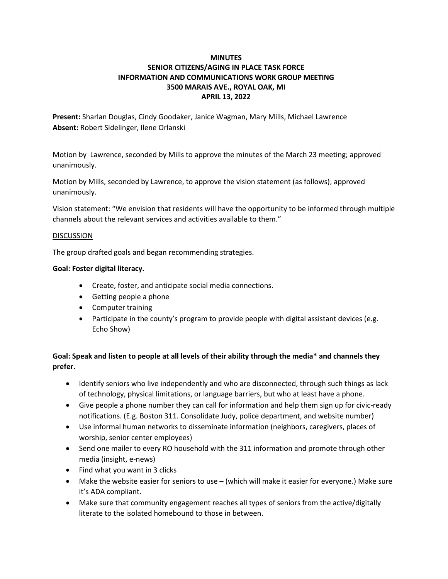# **MINUTES SENIOR CITIZENS/AGING IN PLACE TASK FORCE INFORMATION AND COMMUNICATIONS WORK GROUP MEETING 3500 MARAIS AVE., ROYAL OAK, MI APRIL 13, 2022**

**Present:** Sharlan Douglas, Cindy Goodaker, Janice Wagman, Mary Mills, Michael Lawrence **Absent:** Robert Sidelinger, Ilene Orlanski

Motion by Lawrence, seconded by Mills to approve the minutes of the March 23 meeting; approved unanimously.

Motion by Mills, seconded by Lawrence, to approve the vision statement (as follows); approved unanimously.

Vision statement: "We envision that residents will have the opportunity to be informed through multiple channels about the relevant services and activities available to them."

### DISCUSSION

The group drafted goals and began recommending strategies.

#### **Goal: Foster digital literacy.**

- Create, foster, and anticipate social media connections.
- Getting people a phone
- Computer training
- Participate in the county's program to provide people with digital assistant devices (e.g. Echo Show)

# **Goal: Speak and listen to people at all levels of their ability through the media\* and channels they prefer.**

- Identify seniors who live independently and who are disconnected, through such things as lack of technology, physical limitations, or language barriers, but who at least have a phone.
- Give people a phone number they can call for information and help them sign up for civic-ready notifications. (E.g. Boston 311. Consolidate Judy, police department, and website number)
- Use informal human networks to disseminate information (neighbors, caregivers, places of worship, senior center employees)
- Send one mailer to every RO household with the 311 information and promote through other media (insight, e-news)
- Find what you want in 3 clicks
- Make the website easier for seniors to use (which will make it easier for everyone.) Make sure it's ADA compliant.
- Make sure that community engagement reaches all types of seniors from the active/digitally literate to the isolated homebound to those in between.